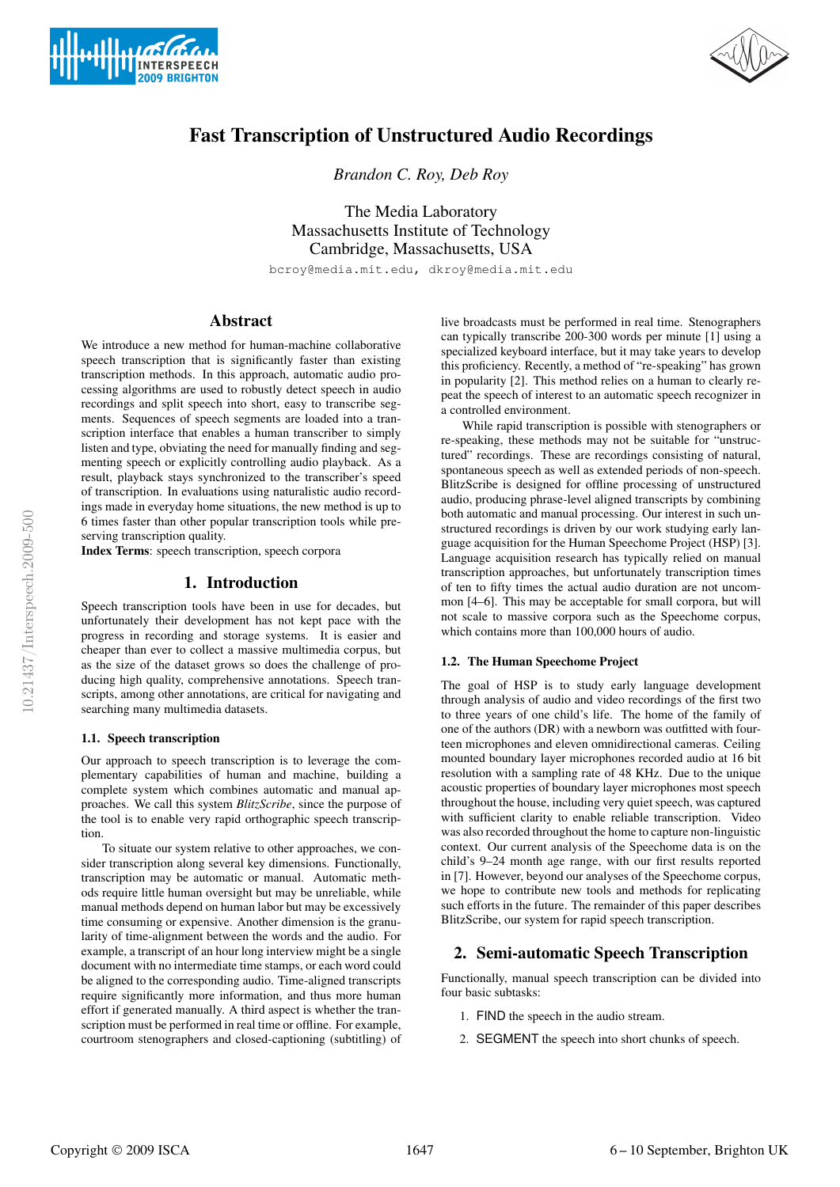



# Fast Transcription of Unstructured Audio Recordings

*Brandon C. Roy, Deb Roy*

The Media Laboratory Massachusetts Institute of Technology Cambridge, Massachusetts, USA

bcroy@media.mit.edu, dkroy@media.mit.edu

# Abstract

We introduce a new method for human-machine collaborative speech transcription that is significantly faster than existing transcription methods. In this approach, automatic audio processing algorithms are used to robustly detect speech in audio recordings and split speech into short, easy to transcribe segments. Sequences of speech segments are loaded into a transcription interface that enables a human transcriber to simply listen and type, obviating the need for manually finding and segmenting speech or explicitly controlling audio playback. As a result, playback stays synchronized to the transcriber's speed of transcription. In evaluations using naturalistic audio recordings made in everyday home situations, the new method is up to 6 times faster than other popular transcription tools while preserving transcription quality.

Index Terms: speech transcription, speech corpora

# 1. Introduction

Speech transcription tools have been in use for decades, but unfortunately their development has not kept pace with the progress in recording and storage systems. It is easier and cheaper than ever to collect a massive multimedia corpus, but as the size of the dataset grows so does the challenge of producing high quality, comprehensive annotations. Speech transcripts, among other annotations, are critical for navigating and searching many multimedia datasets.

#### 1.1. Speech transcription

Our approach to speech transcription is to leverage the complementary capabilities of human and machine, building a complete system which combines automatic and manual approaches. We call this system *BlitzScribe*, since the purpose of the tool is to enable very rapid orthographic speech transcription.

To situate our system relative to other approaches, we consider transcription along several key dimensions. Functionally, transcription may be automatic or manual. Automatic methods require little human oversight but may be unreliable, while manual methods depend on human labor but may be excessively time consuming or expensive. Another dimension is the granularity of time-alignment between the words and the audio. For example, a transcript of an hour long interview might be a single document with no intermediate time stamps, or each word could be aligned to the corresponding audio. Time-aligned transcripts require significantly more information, and thus more human effort if generated manually. A third aspect is whether the transcription must be performed in real time or offline. For example, courtroom stenographers and closed-captioning (subtitling) of live broadcasts must be performed in real time. Stenographers can typically transcribe 200-300 words per minute [1] using a specialized keyboard interface, but it may take years to develop this proficiency. Recently, a method of "re-speaking" has grown in popularity [2]. This method relies on a human to clearly repeat the speech of interest to an automatic speech recognizer in a controlled environment.

While rapid transcription is possible with stenographers or re-speaking, these methods may not be suitable for "unstructured" recordings. These are recordings consisting of natural, spontaneous speech as well as extended periods of non-speech. BlitzScribe is designed for offline processing of unstructured audio, producing phrase-level aligned transcripts by combining both automatic and manual processing. Our interest in such unstructured recordings is driven by our work studying early language acquisition for the Human Speechome Project (HSP) [3]. Language acquisition research has typically relied on manual transcription approaches, but unfortunately transcription times of ten to fifty times the actual audio duration are not uncommon [4–6]. This may be acceptable for small corpora, but will not scale to massive corpora such as the Speechome corpus, which contains more than 100,000 hours of audio.

## 1.2. The Human Speechome Project

The goal of HSP is to study early language development through analysis of audio and video recordings of the first two to three years of one child's life. The home of the family of one of the authors (DR) with a newborn was outfitted with fourteen microphones and eleven omnidirectional cameras. Ceiling mounted boundary layer microphones recorded audio at 16 bit resolution with a sampling rate of 48 KHz. Due to the unique acoustic properties of boundary layer microphones most speech throughout the house, including very quiet speech, was captured with sufficient clarity to enable reliable transcription. Video was also recorded throughout the home to capture non-linguistic context. Our current analysis of the Speechome data is on the child's 9–24 month age range, with our first results reported in [7]. However, beyond our analyses of the Speechome corpus, we hope to contribute new tools and methods for replicating such efforts in the future. The remainder of this paper describes BlitzScribe, our system for rapid speech transcription.

## 2. Semi-automatic Speech Transcription

Functionally, manual speech transcription can be divided into four basic subtasks:

- 1. FIND the speech in the audio stream.
- 2. SEGMENT the speech into short chunks of speech.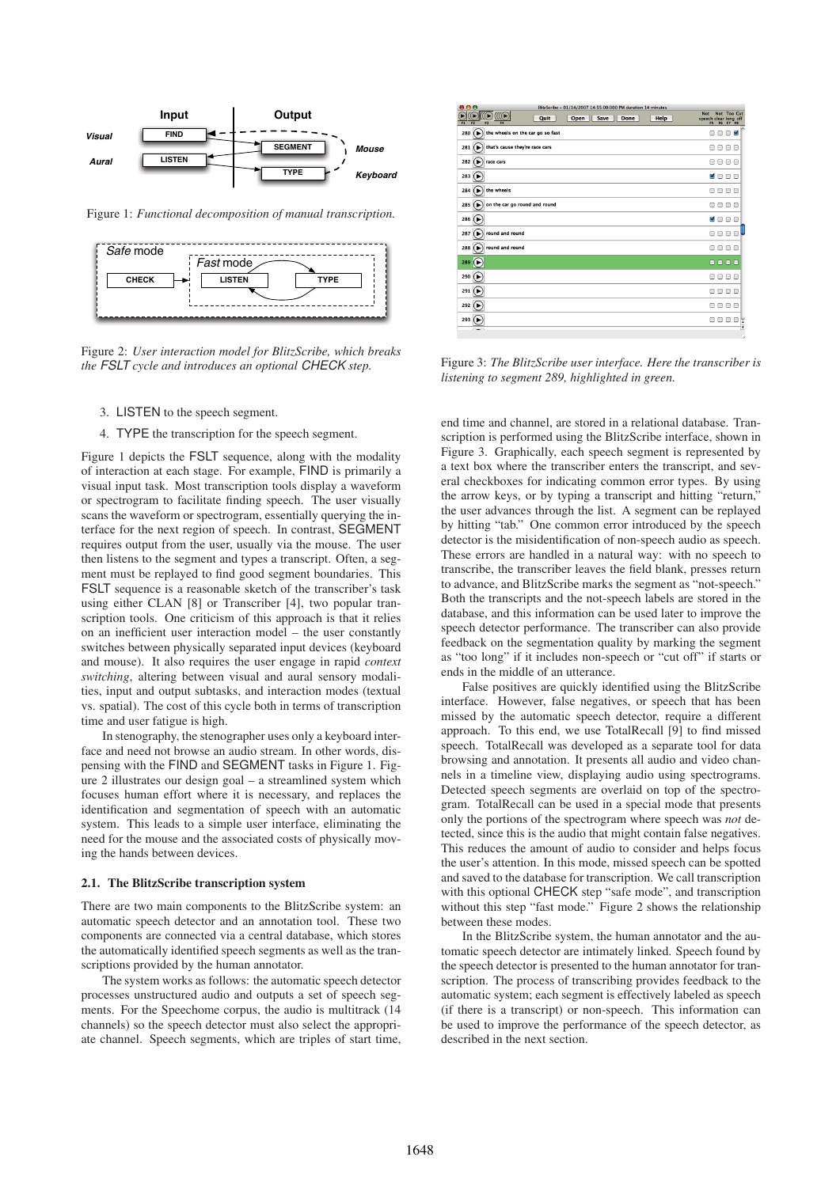

Figure 1: *Functional decomposition of manual transcription.*



Figure 2: *User interaction model for BlitzScribe, which breaks the FSLT cycle and introduces an optional CHECK step.*

- 3. LISTEN to the speech segment.
- 4. TYPE the transcription for the speech segment.

Figure 1 depicts the FSLT sequence, along with the modality of interaction at each stage. For example, FIND is primarily a visual input task. Most transcription tools display a waveform or spectrogram to facilitate finding speech. The user visually scans the waveform or spectrogram, essentially querying the interface for the next region of speech. In contrast, SEGMENT requires output from the user, usually via the mouse. The user then listens to the segment and types a transcript. Often, a segment must be replayed to find good segment boundaries. This FSLT sequence is a reasonable sketch of the transcriber's task using either CLAN [8] or Transcriber [4], two popular transcription tools. One criticism of this approach is that it relies on an inefficient user interaction model – the user constantly switches between physically separated input devices (keyboard and mouse). It also requires the user engage in rapid *context switching*, altering between visual and aural sensory modalities, input and output subtasks, and interaction modes (textual vs. spatial). The cost of this cycle both in terms of transcription time and user fatigue is high.

In stenography, the stenographer uses only a keyboard interface and need not browse an audio stream. In other words, dispensing with the FIND and SEGMENT tasks in Figure 1. Figure 2 illustrates our design goal – a streamlined system which focuses human effort where it is necessary, and replaces the identification and segmentation of speech with an automatic system. This leads to a simple user interface, eliminating the need for the mouse and the associated costs of physically moving the hands between devices.

#### 2.1. The BlitzScribe transcription system

There are two main components to the BlitzScribe system: an automatic speech detector and an annotation tool. These two components are connected via a central database, which stores the automatically identified speech segments as well as the transcriptions provided by the human annotator.

The system works as follows: the automatic speech detector processes unstructured audio and outputs a set of speech segments. For the Speechome corpus, the audio is multitrack (14 channels) so the speech detector must also select the appropriate channel. Speech segments, which are triples of start time,

| .<br>BitzScribe - 01/14/2007 14:55:00:000 PM duration 14 minutes<br>$(\Gamma)$<br>Quit<br>Save<br><b>Done</b><br>Help<br>Open<br>$\overline{F}$<br>F1<br>F4<br>FL | Not Too Cut<br><b>Not</b><br>speech clear long off<br>FS F6 F7 F8 |
|-------------------------------------------------------------------------------------------------------------------------------------------------------------------|-------------------------------------------------------------------|
| the wheels on the car go so fast<br>280<br>$(\blacktriangleright)$                                                                                                | ×<br>╒╕<br>╒<br>╒╕                                                |
| $(\blacktriangleright)$ that's cause they're race cars<br>281                                                                                                     | 888<br>⊟                                                          |
| $282$ ( $\blacktriangleright$ )<br>race cars                                                                                                                      | ╒╕<br>⊟<br>8<br>€                                                 |
| 283<br>(►                                                                                                                                                         | F.<br>日日日                                                         |
| $(\triangleright)$ the wheels<br>284                                                                                                                              | A<br>8 B<br>⊟                                                     |
| on the car go round and round<br>285<br>(►                                                                                                                        | e<br>8<br>A<br>€                                                  |
| 286<br>(▶                                                                                                                                                         | м<br>000                                                          |
| round and round<br>287<br>$\ddot{}$                                                                                                                               | ℮<br>℮<br>℮<br>℮                                                  |
| $(\blacktriangleright)$ round and round<br>288                                                                                                                    | A<br>℮<br>8<br>€                                                  |
| 289<br>(►                                                                                                                                                         | .                                                                 |
| 290<br>(►                                                                                                                                                         | ╒<br>⊟<br>8<br>⊟                                                  |
| 291 $(\triangleright)$                                                                                                                                            | $\equiv$<br>A<br>A<br>℮                                           |
| 292 $(\blacktriangleright)$                                                                                                                                       | $\equiv$<br>A<br>⊟<br>⊜                                           |
| 293                                                                                                                                                               | ⊟<br>⊟<br>╒<br>╒╕<br>z                                            |
|                                                                                                                                                                   | ÿ                                                                 |

Figure 3: *The BlitzScribe user interface. Here the transcriber is listening to segment 289, highlighted in green.*

end time and channel, are stored in a relational database. Transcription is performed using the BlitzScribe interface, shown in Figure 3. Graphically, each speech segment is represented by a text box where the transcriber enters the transcript, and several checkboxes for indicating common error types. By using the arrow keys, or by typing a transcript and hitting "return," the user advances through the list. A segment can be replayed by hitting "tab." One common error introduced by the speech detector is the misidentification of non-speech audio as speech. These errors are handled in a natural way: with no speech to transcribe, the transcriber leaves the field blank, presses return to advance, and BlitzScribe marks the segment as "not-speech." Both the transcripts and the not-speech labels are stored in the database, and this information can be used later to improve the speech detector performance. The transcriber can also provide feedback on the segmentation quality by marking the segment as "too long" if it includes non-speech or "cut off" if starts or ends in the middle of an utterance.

False positives are quickly identified using the BlitzScribe interface. However, false negatives, or speech that has been missed by the automatic speech detector, require a different approach. To this end, we use TotalRecall [9] to find missed speech. TotalRecall was developed as a separate tool for data browsing and annotation. It presents all audio and video channels in a timeline view, displaying audio using spectrograms. Detected speech segments are overlaid on top of the spectrogram. TotalRecall can be used in a special mode that presents only the portions of the spectrogram where speech was *not* detected, since this is the audio that might contain false negatives. This reduces the amount of audio to consider and helps focus the user's attention. In this mode, missed speech can be spotted and saved to the database for transcription. We call transcription with this optional CHECK step "safe mode", and transcription without this step "fast mode." Figure 2 shows the relationship between these modes.

In the BlitzScribe system, the human annotator and the automatic speech detector are intimately linked. Speech found by the speech detector is presented to the human annotator for transcription. The process of transcribing provides feedback to the automatic system; each segment is effectively labeled as speech (if there is a transcript) or non-speech. This information can be used to improve the performance of the speech detector, as described in the next section.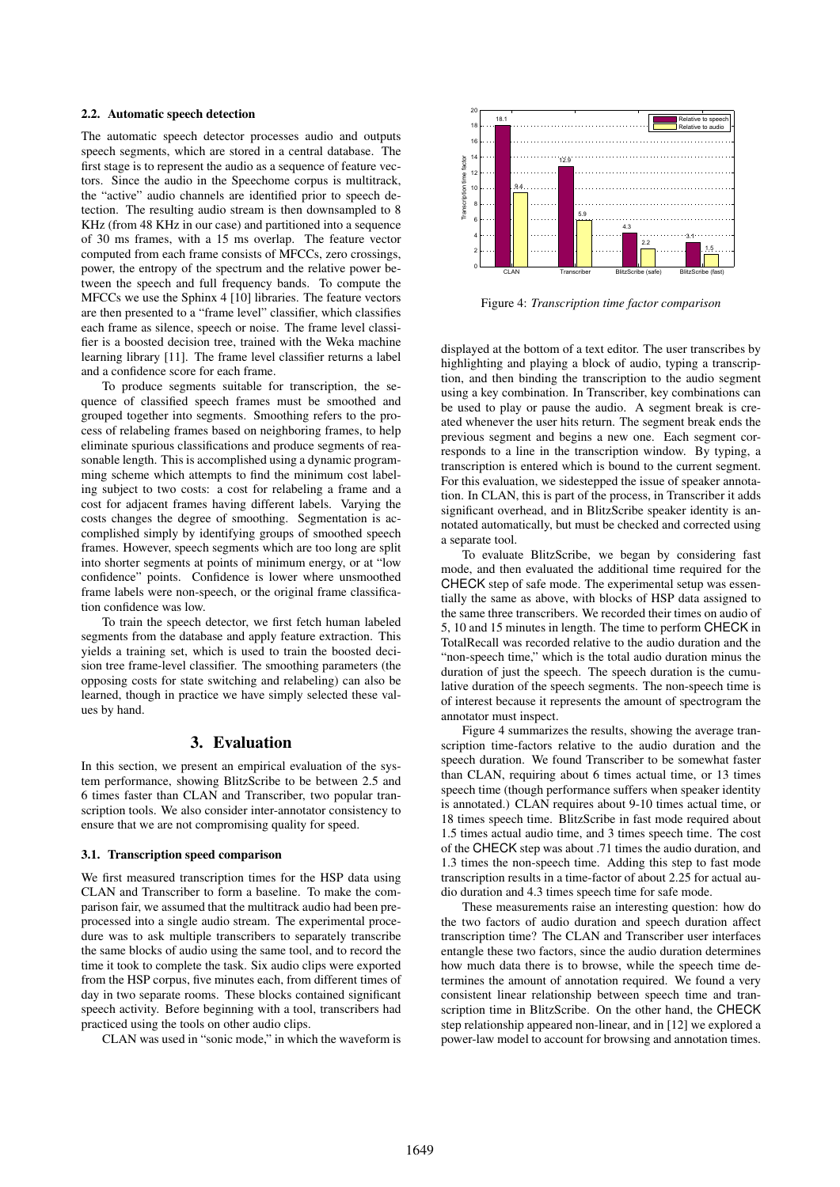#### 2.2. Automatic speech detection

The automatic speech detector processes audio and outputs speech segments, which are stored in a central database. The first stage is to represent the audio as a sequence of feature vectors. Since the audio in the Speechome corpus is multitrack, the "active" audio channels are identified prior to speech detection. The resulting audio stream is then downsampled to 8 KHz (from 48 KHz in our case) and partitioned into a sequence of 30 ms frames, with a 15 ms overlap. The feature vector computed from each frame consists of MFCCs, zero crossings, power, the entropy of the spectrum and the relative power between the speech and full frequency bands. To compute the MFCCs we use the Sphinx 4 [10] libraries. The feature vectors are then presented to a "frame level" classifier, which classifies each frame as silence, speech or noise. The frame level classifier is a boosted decision tree, trained with the Weka machine learning library [11]. The frame level classifier returns a label and a confidence score for each frame.

To produce segments suitable for transcription, the sequence of classified speech frames must be smoothed and grouped together into segments. Smoothing refers to the process of relabeling frames based on neighboring frames, to help eliminate spurious classifications and produce segments of reasonable length. This is accomplished using a dynamic programming scheme which attempts to find the minimum cost labeling subject to two costs: a cost for relabeling a frame and a cost for adjacent frames having different labels. Varying the costs changes the degree of smoothing. Segmentation is accomplished simply by identifying groups of smoothed speech frames. However, speech segments which are too long are split into shorter segments at points of minimum energy, or at "low confidence" points. Confidence is lower where unsmoothed frame labels were non-speech, or the original frame classification confidence was low.

To train the speech detector, we first fetch human labeled segments from the database and apply feature extraction. This yields a training set, which is used to train the boosted decision tree frame-level classifier. The smoothing parameters (the opposing costs for state switching and relabeling) can also be learned, though in practice we have simply selected these values by hand.

## 3. Evaluation

In this section, we present an empirical evaluation of the system performance, showing BlitzScribe to be between 2.5 and 6 times faster than CLAN and Transcriber, two popular transcription tools. We also consider inter-annotator consistency to ensure that we are not compromising quality for speed.

### 3.1. Transcription speed comparison

We first measured transcription times for the HSP data using CLAN and Transcriber to form a baseline. To make the comparison fair, we assumed that the multitrack audio had been preprocessed into a single audio stream. The experimental procedure was to ask multiple transcribers to separately transcribe the same blocks of audio using the same tool, and to record the time it took to complete the task. Six audio clips were exported from the HSP corpus, five minutes each, from different times of day in two separate rooms. These blocks contained significant speech activity. Before beginning with a tool, transcribers had practiced using the tools on other audio clips.

CLAN was used in "sonic mode," in which the waveform is



Figure 4: *Transcription time factor comparison*

displayed at the bottom of a text editor. The user transcribes by highlighting and playing a block of audio, typing a transcription, and then binding the transcription to the audio segment using a key combination. In Transcriber, key combinations can be used to play or pause the audio. A segment break is created whenever the user hits return. The segment break ends the previous segment and begins a new one. Each segment corresponds to a line in the transcription window. By typing, a transcription is entered which is bound to the current segment. For this evaluation, we sidestepped the issue of speaker annotation. In CLAN, this is part of the process, in Transcriber it adds significant overhead, and in BlitzScribe speaker identity is annotated automatically, but must be checked and corrected using a separate tool.

To evaluate BlitzScribe, we began by considering fast mode, and then evaluated the additional time required for the CHECK step of safe mode. The experimental setup was essentially the same as above, with blocks of HSP data assigned to the same three transcribers. We recorded their times on audio of 5, 10 and 15 minutes in length. The time to perform CHECK in TotalRecall was recorded relative to the audio duration and the "non-speech time," which is the total audio duration minus the duration of just the speech. The speech duration is the cumulative duration of the speech segments. The non-speech time is of interest because it represents the amount of spectrogram the annotator must inspect.

Figure 4 summarizes the results, showing the average transcription time-factors relative to the audio duration and the speech duration. We found Transcriber to be somewhat faster than CLAN, requiring about 6 times actual time, or 13 times speech time (though performance suffers when speaker identity is annotated.) CLAN requires about 9-10 times actual time, or 18 times speech time. BlitzScribe in fast mode required about 1.5 times actual audio time, and 3 times speech time. The cost of the CHECK step was about .71 times the audio duration, and 1.3 times the non-speech time. Adding this step to fast mode transcription results in a time-factor of about 2.25 for actual audio duration and 4.3 times speech time for safe mode.

These measurements raise an interesting question: how do the two factors of audio duration and speech duration affect transcription time? The CLAN and Transcriber user interfaces entangle these two factors, since the audio duration determines how much data there is to browse, while the speech time determines the amount of annotation required. We found a very consistent linear relationship between speech time and transcription time in BlitzScribe. On the other hand, the CHECK step relationship appeared non-linear, and in [12] we explored a power-law model to account for browsing and annotation times.